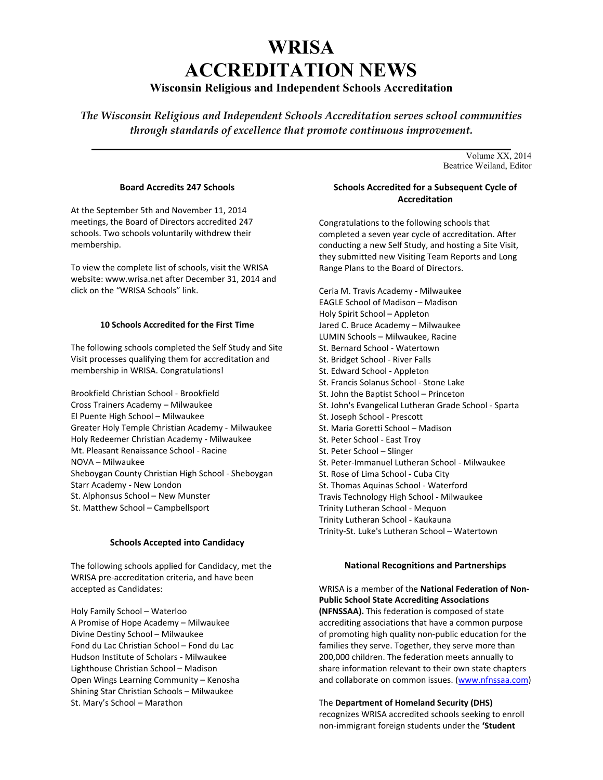# **WRISA ACCREDITATION NEWS**

# **Wisconsin Religious and Independent Schools Accreditation**

*The Wisconsin Religious and Independent Schools Accreditation serves school communities through standards of excellence that promote continuous improvement.* 

**\_\_\_\_\_\_\_\_\_\_\_\_\_\_\_\_\_\_\_\_\_\_\_\_\_\_\_\_\_\_\_\_\_\_\_\_\_\_\_\_\_\_\_\_\_\_\_\_\_\_\_\_\_\_\_\_\_\_\_\_\_\_\_\_\_\_\_\_\_\_\_**  Volume XX, 2014 Beatrice Weiland, Editor

# **Board Accredits 247 Schools**

At the September 5th and November 11, 2014 meetings, the Board of Directors accredited 247 schools. Two schools voluntarily withdrew their membership.

To view the complete list of schools, visit the WRISA website: www.wrisa.net after December 31, 2014 and click on the "WRISA Schools" link.

# **10 Schools Accredited for the First Time**

The following schools completed the Self Study and Site Visit processes qualifying them for accreditation and membership in WRISA. Congratulations!

Brookfield Christian School - Brookfield Cross Trainers Academy – Milwaukee El Puente High School – Milwaukee Greater Holy Temple Christian Academy - Milwaukee Holy Redeemer Christian Academy - Milwaukee Mt. Pleasant Renaissance School - Racine NOVA – Milwaukee Sheboygan County Christian High School - Sheboygan Starr Academy - New London St. Alphonsus School – New Munster St. Matthew School – Campbellsport

# **Schools Accepted into Candidacy**

The following schools applied for Candidacy, met the WRISA pre-accreditation criteria, and have been accepted as Candidates:

Holy Family School – Waterloo A Promise of Hope Academy – Milwaukee Divine Destiny School – Milwaukee Fond du Lac Christian School – Fond du Lac Hudson Institute of Scholars - Milwaukee Lighthouse Christian School – Madison Open Wings Learning Community – Kenosha Shining Star Christian Schools – Milwaukee St. Mary's School – Marathon

# **Schools Accredited for a Subsequent Cycle of Accreditation**

Congratulations to the following schools that completed a seven year cycle of accreditation. After conducting a new Self Study, and hosting a Site Visit, they submitted new Visiting Team Reports and Long Range Plans to the Board of Directors.

Ceria M. Travis Academy - Milwaukee EAGLE School of Madison – Madison Holy Spirit School – Appleton Jared C. Bruce Academy – Milwaukee LUMIN Schools – Milwaukee, Racine St. Bernard School - Watertown St. Bridget School - River Falls St. Edward School - Appleton St. Francis Solanus School - Stone Lake St. John the Baptist School – Princeton St. John's Evangelical Lutheran Grade School - Sparta St. Joseph School - Prescott St. Maria Goretti School – Madison St. Peter School - East Troy St. Peter School – Slinger St. Peter-Immanuel Lutheran School - Milwaukee St. Rose of Lima School - Cuba City St. Thomas Aquinas School - Waterford Travis Technology High School - Milwaukee Trinity Lutheran School - Mequon Trinity Lutheran School - Kaukauna Trinity-St. Luke's Lutheran School – Watertown

### **National Recognitions and Partnerships**

WRISA is a member of the **National Federation of Non-Public School State Accrediting Associations (NFNSSAA).** This federation is composed of state accrediting associations that have a common purpose of promoting high quality non-public education for the families they serve. Together, they serve more than 200,000 children. The federation meets annually to share information relevant to their own state chapters and collaborate on common issues. (www.nfnssaa.com)

The **Department of Homeland Security (DHS)** recognizes WRISA accredited schools seeking to enroll non-immigrant foreign students under the **'Student**